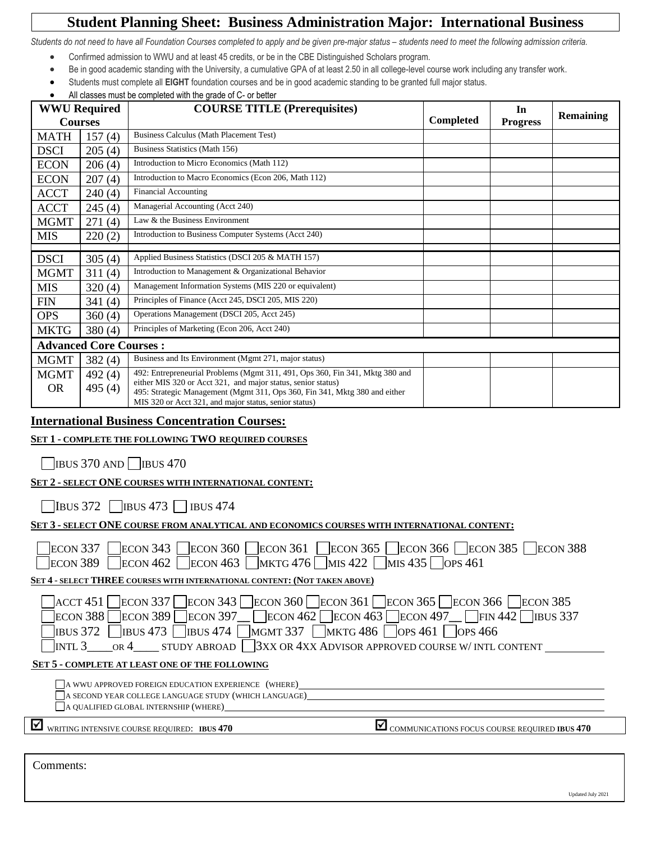# **Student Planning Sheet: Business Administration Major: International Business**

Students do not need to have all Foundation Courses completed to apply and be given pre-major status - students need to meet the following admission criteria.

- Confirmed admission to WWU and at least 45 credits, or be in the CBE Distinguished Scholars program.
- Be in good academic standing with the University, a cumulative GPA of at least 2.50 in all college-level course work including any transfer work.
- Students must complete all **EIGHT** foundation courses and be in good academic standing to be granted full major status.
- All classes must be completed with the grade of C- or better

| <b>WWU Required</b> |                               | <b>COURSE TITLE (Prerequisites)</b>                                          |           | In              | <b>Remaining</b> |
|---------------------|-------------------------------|------------------------------------------------------------------------------|-----------|-----------------|------------------|
| <b>Courses</b>      |                               |                                                                              | Completed | <b>Progress</b> |                  |
| <b>MATH</b>         | 157(4)                        | Business Calculus (Math Placement Test)                                      |           |                 |                  |
| <b>DSCI</b>         | 205(4)                        | Business Statistics (Math 156)                                               |           |                 |                  |
| <b>ECON</b>         | 206(4)                        | Introduction to Micro Economics (Math 112)                                   |           |                 |                  |
| <b>ECON</b>         | 207(4)                        | Introduction to Macro Economics (Econ 206, Math 112)                         |           |                 |                  |
| <b>ACCT</b>         | 240(4)                        | <b>Financial Accounting</b>                                                  |           |                 |                  |
| <b>ACCT</b>         | 245(4)                        | Managerial Accounting (Acct 240)                                             |           |                 |                  |
| <b>MGMT</b>         | 271(4)                        | Law & the Business Environment                                               |           |                 |                  |
| <b>MIS</b>          | 220(2)                        | Introduction to Business Computer Systems (Acct 240)                         |           |                 |                  |
|                     |                               |                                                                              |           |                 |                  |
| <b>DSCI</b>         | 305(4)                        | Applied Business Statistics (DSCI 205 & MATH 157)                            |           |                 |                  |
| <b>MGMT</b>         | 311(4)                        | Introduction to Management & Organizational Behavior                         |           |                 |                  |
| <b>MIS</b>          | 320(4)                        | Management Information Systems (MIS 220 or equivalent)                       |           |                 |                  |
| <b>FIN</b>          | 341(4)                        | Principles of Finance (Acct 245, DSCI 205, MIS 220)                          |           |                 |                  |
| <b>OPS</b>          | 360(4)                        | Operations Management (DSCI 205, Acct 245)                                   |           |                 |                  |
| <b>MKTG</b>         | 380(4)                        | Principles of Marketing (Econ 206, Acct 240)                                 |           |                 |                  |
|                     | <b>Advanced Core Courses:</b> |                                                                              |           |                 |                  |
| <b>MGMT</b>         | 382(4)                        | Business and Its Environment (Mgmt 271, major status)                        |           |                 |                  |
| <b>MGMT</b>         | 492(4)                        | 492: Entrepreneurial Problems (Mgmt 311, 491, Ops 360, Fin 341, Mktg 380 and |           |                 |                  |
| <b>OR</b>           | 495 (4)                       | either MIS 320 or Acct 321, and major status, senior status)                 |           |                 |                  |
|                     |                               | 495: Strategic Management (Mgmt 311, Ops 360, Fin 341, Mktg 380 and either   |           |                 |                  |
|                     |                               | MIS 320 or Acct 321, and major status, senior status)                        |           |                 |                  |

#### **International Business Concentration Courses:**

#### **SET 1 - COMPLETE THE FOLLOWING TWO REQUIRED COURSES**

 $\Box$ IBUS 370 AND  $\Box$ IBUS 470

# **SET 2 - SELECT ONE COURSES WITH INTERNATIONAL CONTENT:**

 $\Box$ IBUS 372  $\Box$ IBUS 473  $\Box$ IBUS 474

### **SET 3 - SELECT ONE COURSE FROM ANALYTICAL AND ECONOMICS COURSES WITH INTERNATIONAL CONTENT:**

|                                                                                                                                                                                                                                                              | ECON 337 ECON 343 ECON 360 ECON 361 ECON 365 ECON 366 ECON 385 ECON 388<br>$\begin{array}{r} \text{ECON 389} \\ \text{ECON 462} \\ \text{ECON 463} \\ \text{MKTG 476} \\ \text{MIS 422} \\ \text{MIS 435} \\ \text{OPS 461} \end{array}$ |
|--------------------------------------------------------------------------------------------------------------------------------------------------------------------------------------------------------------------------------------------------------------|------------------------------------------------------------------------------------------------------------------------------------------------------------------------------------------------------------------------------------------|
| <b>SET 4 - SELECT THREE COURSES WITH INTERNATIONAL CONTENT: (NOT TAKEN ABOVE)</b>                                                                                                                                                                            |                                                                                                                                                                                                                                          |
| ACCT 451 <br> ECON 388 <br><b>IBUS</b> 372<br><b>SET 5 - COMPLETE AT LEAST ONE OF THE FOLLOWING</b><br>A WWU APPROVED FOREIGN EDUCATION EXPERIENCE (WHERE)<br>A SECOND YEAR COLLEGE LANGUAGE STUDY (WHICH LANGUAGE)<br>A QUALIFIED GLOBAL INTERNSHIP (WHERE) | ECON 337 ECON 343 ECON 360 ECON 361 ECON 365 ECON 366 ECON 385<br>ECON 389 ECON 397 ECON 462 ECON 463 ECON 497 FIN 442 BUS 337<br><b>IBUS 473</b> IBUS 474 MGMT 337 MKTG 486 OPS 461 OPS 466                                             |
| ☑<br>WRITING INTENSIVE COURSE REQUIRED: IBUS 470                                                                                                                                                                                                             | COMMUNICATIONS FOCUS COURSE REQUIRED IBUS 470                                                                                                                                                                                            |
|                                                                                                                                                                                                                                                              |                                                                                                                                                                                                                                          |
|                                                                                                                                                                                                                                                              |                                                                                                                                                                                                                                          |

Comments: